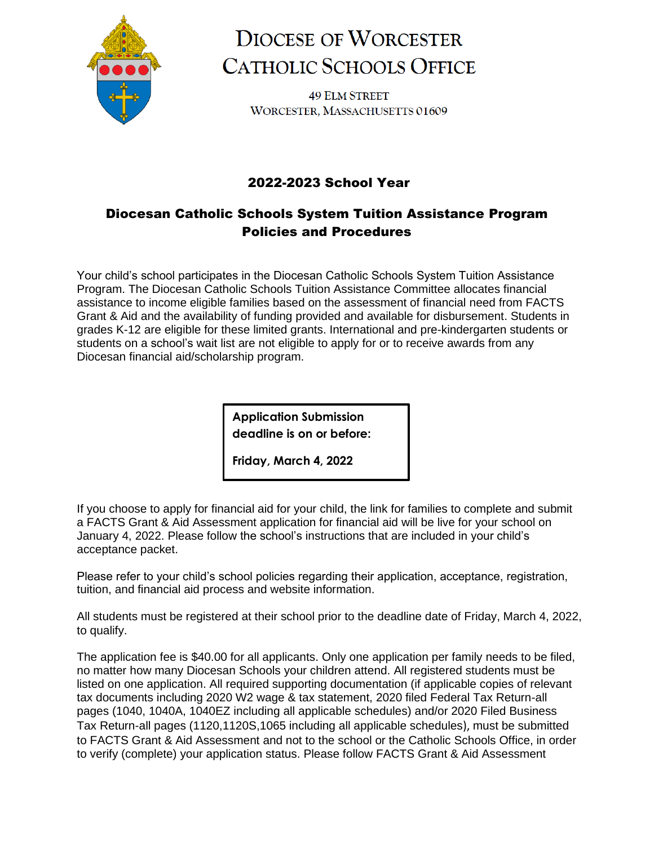

# **DIOCESE OF WORCESTER CATHOLIC SCHOOLS OFFICE**

**49 ELM STREET** WORCESTER, MASSACHUSETTS 01609

## 2022-2023 School Year

## Diocesan Catholic Schools System Tuition Assistance Program Policies and Procedures

Your child's school participates in the Diocesan Catholic Schools System Tuition Assistance Program. The Diocesan Catholic Schools Tuition Assistance Committee allocates financial assistance to income eligible families based on the assessment of financial need from FACTS Grant & Aid and the availability of funding provided and available for disbursement. Students in grades K-12 are eligible for these limited grants. International and pre-kindergarten students or students on a school's wait list are not eligible to apply for or to receive awards from any Diocesan financial aid/scholarship program.

> **Application Submission deadline is on or before:**

**Friday, March 4, 2022**

If you choose to apply for financial aid for your child, the link for families to complete and submit a FACTS Grant & Aid Assessment application for financial aid will be live for your school on January 4, 2022. Please follow the school's instructions that are included in your child's acceptance packet.

Please refer to your child's school policies regarding their application, acceptance, registration, tuition, and financial aid process and website information.

All students must be registered at their school prior to the deadline date of Friday, March 4, 2022, to qualify.

The application fee is \$40.00 for all applicants. Only one application per family needs to be filed, no matter how many Diocesan Schools your children attend. All registered students must be listed on one application. All required supporting documentation (if applicable copies of relevant tax documents including 2020 W2 wage & tax statement, 2020 filed Federal Tax Return-all pages (1040, 1040A, 1040EZ including all applicable schedules) and/or 2020 Filed Business Tax Return-all pages (1120,1120S,1065 including all applicable schedules), must be submitted to FACTS Grant & Aid Assessment and not to the school or the Catholic Schools Office, in order to verify (complete) your application status. Please follow FACTS Grant & Aid Assessment